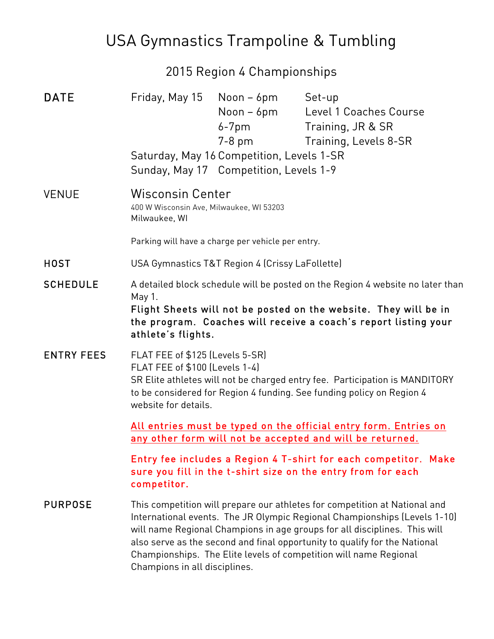## USA Gymnastics Trampoline & Tumbling

### 2015 Region 4 Championships

| <b>DATE</b>       |                                                                                                                                                                                                                                                                                                                                                                                                                          | Friday, May 15 Noon - 6pm<br>Noon – 6pm<br>6-7pm<br>7-8 pm<br>Saturday, May 16 Competition, Levels 1-SR<br>Sunday, May 17 Competition, Levels 1-9 | Set-up<br>Level 1 Coaches Course<br>Training, JR & SR<br>Training, Levels 8-SR |
|-------------------|--------------------------------------------------------------------------------------------------------------------------------------------------------------------------------------------------------------------------------------------------------------------------------------------------------------------------------------------------------------------------------------------------------------------------|---------------------------------------------------------------------------------------------------------------------------------------------------|--------------------------------------------------------------------------------|
| <b>VENUE</b>      | <b>Wisconsin Center</b><br>400 W Wisconsin Ave, Milwaukee, WI 53203<br>Milwaukee, WI                                                                                                                                                                                                                                                                                                                                     |                                                                                                                                                   |                                                                                |
|                   | Parking will have a charge per vehicle per entry.                                                                                                                                                                                                                                                                                                                                                                        |                                                                                                                                                   |                                                                                |
| <b>HOST</b>       | USA Gymnastics T&T Region 4 (Crissy LaFollette)                                                                                                                                                                                                                                                                                                                                                                          |                                                                                                                                                   |                                                                                |
| <b>SCHEDULE</b>   | A detailed block schedule will be posted on the Region 4 website no later than<br>May 1.<br>Flight Sheets will not be posted on the website. They will be in<br>the program. Coaches will receive a coach's report listing your<br>athlete's flights.                                                                                                                                                                    |                                                                                                                                                   |                                                                                |
| <b>ENTRY FEES</b> | FLAT FEE of \$125 (Levels 5-SR)<br>FLAT FEE of \$100 (Levels 1-4)<br>SR Elite athletes will not be charged entry fee. Participation is MANDITORY<br>to be considered for Region 4 funding. See funding policy on Region 4<br>website for details.                                                                                                                                                                        |                                                                                                                                                   |                                                                                |
|                   | All entries must be typed on the official entry form. Entries on<br>any other form will not be accepted and will be returned.                                                                                                                                                                                                                                                                                            |                                                                                                                                                   |                                                                                |
|                   | Entry fee includes a Region 4 T-shirt for each competitor. Make<br>sure you fill in the t-shirt size on the entry from for each<br>competitor.                                                                                                                                                                                                                                                                           |                                                                                                                                                   |                                                                                |
| <b>PURPOSE</b>    | This competition will prepare our athletes for competition at National and<br>International events. The JR Olympic Regional Championships (Levels 1-10)<br>will name Regional Champions in age groups for all disciplines. This will<br>also serve as the second and final opportunity to qualify for the National<br>Championships. The Elite levels of competition will name Regional<br>Champions in all disciplines. |                                                                                                                                                   |                                                                                |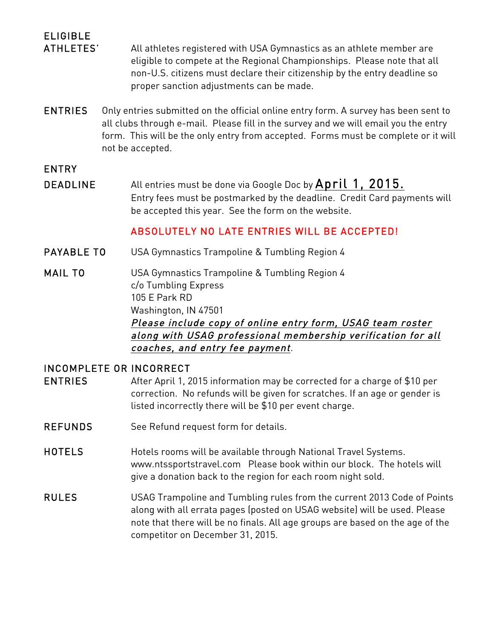# ELIGIBLE

ATHLETES' All athletes registered with USA Gymnastics as an athlete member are eligible to compete at the Regional Championships. Please note that all non-U.S. citizens must declare their citizenship by the entry deadline so proper sanction adjustments can be made.

ENTRIES Only entries submitted on the official online entry form. A survey has been sent to all clubs through e-mail. Please fill in the survey and we will email you the entry form. This will be the only entry from accepted. Forms must be complete or it will not be accepted.

#### ENTRY

DEADLINE All entries must be done via Google Doc by April 1, 2015. Entry fees must be postmarked by the deadline. Credit Card payments will be accepted this year. See the form on the website.

#### ABSOLUTELY NO LATE ENTRIES WILL BE ACCEPTED!

- PAYABLE TO USA Gymnastics Trampoline & Tumbling Region 4
- MAIL TO USA Gymnastics Trampoline & Tumbling Region 4 c/o Tumbling Express 105 E Park RD Washington, IN 47501 Please include copy of online entry form, USAG team roster along with USAG professional membership verification for all coaches, and entry fee payment.

#### INCOMPLETE OR INCORRECT

- ENTRIES After April 1, 2015 information may be corrected for a charge of \$10 per correction. No refunds will be given for scratches. If an age or gender is listed incorrectly there will be \$10 per event charge.
- REFUNDS See Refund request form for details.
- HOTELS Hotels rooms will be available through National Travel Systems. www.ntssportstravel.com Please book within our block. The hotels will give a donation back to the region for each room night sold.
- RULES USAG Trampoline and Tumbling rules from the current 2013 Code of Points along with all errata pages (posted on USAG website) will be used. Please note that there will be no finals. All age groups are based on the age of the competitor on December 31, 2015.